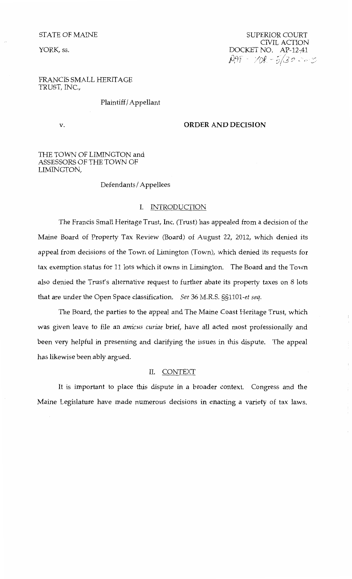# STATE OF MAINE

YORK, ss.

SUPERIOR COURT CIVIL ACTION DOCKET NO. AP-12-41  $\rho$ AF - 10R - 5/30 20 3

 $\bar{1}$ 

# FRANCIS SMALL HERITAGE TRUST, INC.,

Plaintiff/ Appellant

# v. **ORDER AND DECISION**

# THE TOWN OF LIMINGTON and ASSESSORS OF THE TOWN OF LIMINGTON,

Defendants/ Appellees

# I. INTRODUCTION

The Francis Small Heritage Trust, Inc. (Trust) has appealed from a decision of the Maine Board of Property Tax Review (Board) of August 22, 2012, which denied its appeal from decisions of the Town of Limington (Town), which denied its requests for tax exemption status for 11 lots which it owns in Limington. The Board and the Town also denied the Trust's alternative request to further abate its property taxes on 8 lots that are under the Open Space classification. *See* 36 M.R.S. *§§1101-et seq.* 

The Board, the parties to the appeal and The Maine Coast Heritage Trust, which was given leave to file an *amicus curiae* brief, have all acted most professionally and been very helpful in presenting and clarifying the issues in this dispute. The appeal has likewise been ably argued.

### II. CONTEXT

It is important to place this dispute in a broader context. Congress and the Maine Legislature have made numerous decisions in enacting a variety of tax laws.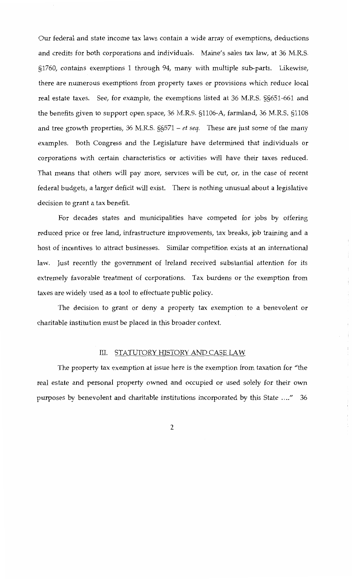Our federal and state income tax laws contain a wide array of exemptions, deductions and credits for both corporations and individuals. Maine's sales tax law, at 36 M.R.S. §1760, contains exemptions 1 through 94, many with multiple sub-parts. Likewise, there are numerous exemptions from property taxes or provisions which reduce local real estate taxes. See, for example, the exemptions listed at 36 M.R.S. §§651-661 and the benefits given to support open space, 36 M.R.S. §1106-A, farmland, 36 M.R.S. §1108 and tree growth properties, 36 M.R.S. §§571 – *et seq.* These are just some of the many examples. Both Congress and the Legislature have determined that individuals or corporations with certain characteristics or activities will have their taxes reduced. That means that others will pay more, services will be cut, or, in the case of recent federal budgets, a larger deficit will exist. There is nothing unusual about a legislative decision to grant a tax benefit.

For decades states and municipalities have competed for jobs by offering reduced price or free land, infrastructure improvements, tax breaks, job training and a host of incentives to attract businesses. Similar competition exists at an international law. Just recently the government of Ireland received substantial attention for its extremely favorable treatment of corporations. Tax burdens or the exemption from taxes are widely used as a tool to effectuate public policy.

The decision to grant or deny a property tax exemption to a benevolent or charitable institution must be placed in this broader context.

# III. STATUTORY HISTORY AND CASE LAW

÷j.

The property tax exemption at issue here is the exemption from taxation for "the real estate and personal property owned and occupied or used solely for their own purposes by benevolent and charitable institutions incorporated by this State ...." 36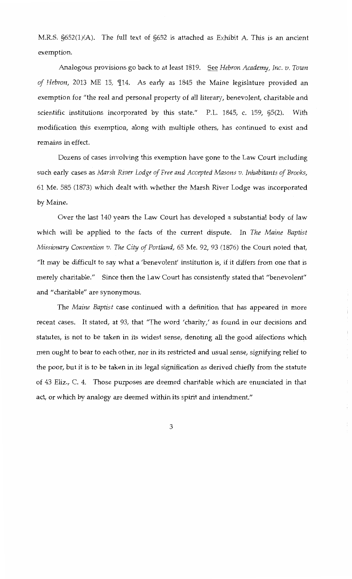M.R.S. §652(1)(A). The full text of §652 is attached as Exhibit A. This is an ancient exemption.

Analogous provisions go back *to* at least 1819. See *Hebron Academy, Inc. v. Town*  of Hebron, 2013 ME 15, 114. As early as 1845 the Maine legislature provided an exemption for "the real and personal property of all literary, benevolent, charitable and scientific institutions incorporated by this state." P.L. 1845, c. 159, §5(2). With modification this exemption, along with multiple others, has continued *to* exist and remains in effect.

Dozens of cases involving this exemption have gone *to* the Law Court including such early cases as *Marsh River Lodge of Free and Accepted Masons v. Inhabitants of Brooks,*  61 Me. 585 (1873) which dealt with whether the Marsh River Lodge was incorporated by Maine.

Over the last 140 years the Law Court has developed a substantial body of law which will be applied to the facts of the current dispute. In *The Maine Baptist Missionary Convention v. The City of Portland,* 65 Me. 92, 93 (1876) the Court noted that, "It may be difficult *to* say what a 'benevolent' institution is, if it differs from one that is merely charitable." Since then the Law Court has consistently stated that "benevolent" and "charitable" are synonymous.

The *Maine Baptist* case continued with a definition that has appeared in more recent cases. It stated, at 93, that "The word 'charity,' as found in our decisions and statutes, is not to be taken in its widest sense, denoting all the good affections which men ought *to* bear *to* each other, nor in its restricted and usual sense, signifying relief to the poor, but it is *to* be taken in its legal signification as derived chiefly from the statute of 43 Eliz., C. 4. Those purposes are deemed charitable which are enunciated in that act, or which by analogy are deemed within its spirit and intendment."

İ.

 $\mathfrak{f}$ 

ŧ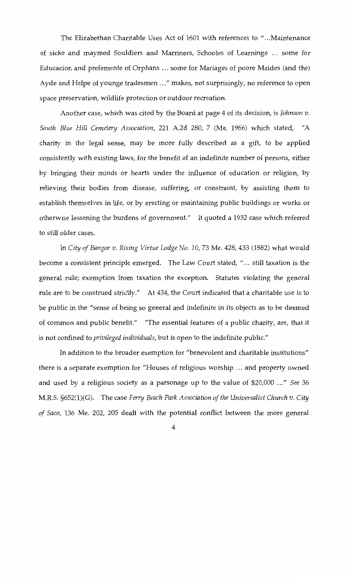The Elizabethan Charitable Uses Act of 1601 with references to " ... Maintenance of sicke and maymed Souldiers and Marriners, Schooles of Learninge ... some for Educacion and prefemente of Orphans ... some for Mariages of poore Maides (and the) Ayde and Helpe of younge tradesmen ... " makes, not surprisingly, no reference *to* open space preservation, wildlife protection or outdoor recreation.

Another case, which was cited by the Board at page 4 of its decision, is *Johnson v. South Blue Hill Cemetery Association,* 221 A.2d 280, 7 (Me. 1966) which stated, "A charity in the legal sense, may be more fully described as a gift, *to* be applied consistently with existing laws, for the benefit of an indefinite number of persons, either by bringing their minds or hearts under the influence of education or religion, by relieving their bodies from disease, suffering, or constraint, by assisting them *to*  establish themselves in life, or by erecting or maintaining public buildings or works or otherwise lessening the burdens of government." It quoted a 1932 case which referred *to* still older cases.

In *City of Bangor v. Rising Virtue Lodge No. 10,* 73 Me. 428, 433 (1882) what would become a consistent principle emerged. The Law Court stated, "... still taxation is the general rule; exemption from taxation the exception. Statutes violating the general rule are *to* be construed strictly." *At* 434, the Court indicated that a charitable use is *to*  be public in the "sense of being so general and indefinite in its objects as to be deemed of common and public benefit." "The essential features of a public charity, are, that it is not confined to *privileged individuals,* but is open to the indefinite public."

In addition to the broader exemption for "benevolent and charitable institutions" there is a separate exemption for "Houses of religious worship ... and property owned and used by a religious society as a parsonage up to the value of \$20,000 ... " *See* 36 M.R.S. §652(1)(G). The case *Ferry Beach Park Association of the Universalist Church v. City of Saco,* 136 Me. 202, 205 dealt with the potential conflict between the more general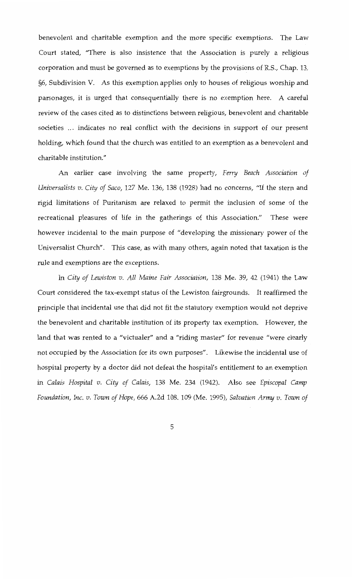benevolent and charitable exemption and the more specific exemptions. The Law Court stated, "There is also insistence that the Association is purely a religious corporation and must be governed as *to* exemptions by the provisions of R.S., Chap. 13, §6, Subdivision V. As this exemption applies only *to* houses of religious worship and parsonages, it is urged that consequentially there is no exemption here. A careful review of the cases cited as *to* distinctions between religious, benevolent and charitable societies ... indicates no real conflict with the decisions in support of our present holding, which found that the church was entitled *to* an exemption as a benevolent and charitable institution."

An earlier case involving the same property, *Ferry Beach Association of Universalists v. City of Saco,* 127 Me. 136, 138 (1928) had no concerns, "If the stern and rigid limitations of Puritanism are relaxed *to* permit the inclusion of some of the recreational pleasures of life in the gatherings of this Association." These were however incidental *to* the main purpose of "developing the missionary power of the Universalist Church". This case, as with many others, again noted that taxation is the rule and exemptions are the exceptions.

In *City of Lewiston v. All Maine Fair Association,* 138 Me. 39, 42 (1941) the Law Court considered the tax-exempt status of the Lewiston fairgrounds. It reaffirmed the principle that incidental use that did not fit the statutory exemption would not deprive the benevolent and charitable institution of its property tax exemption. However, the land that was rented *to* a "victualer" and a "riding master" for revenue "were clearly not occupied by the Association for its own purposes". Likewise the incidental use of hospital property by a doctor did not defeat the hospital's entitlement *to* an exemption in *Calais Hospital v. City of Calais,* 138 Me. 234 (1942). Also see *Episcopal Camp Foundation, Inc. v. Town of Hope,* 666 A.2d 108. 109 (Me. 1995), *Salvation Army v. Town of*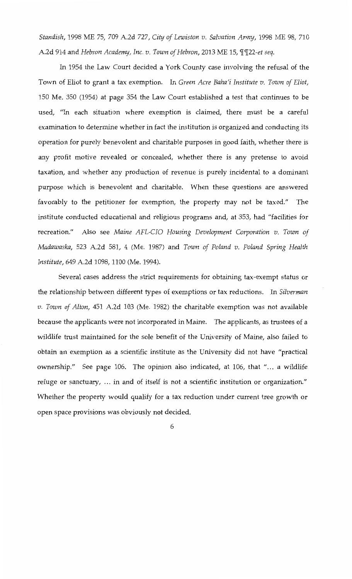*Standish,* 1998 ME 75, 709 A.2d 727, *City of Lewiston v. Salvation Army,* 1998 ME 98, 710 A.2d 914 and *Hebron Academy, Inc. v. Town of Hebron,* 2013 ME 15,  $\frac{q}{22}$ -et seg.

In 1954 the Law Court decided a York County case involving the refusal of the Town of Eliot to grant a tax exemption. In *Green Acre Baha'i Institute v. Town of Eliot,*  150 Me. 350 (1954) at page 354 the Law Court established a test that continues to be used, "In each situation where exemption is claimed, there must be a careful examination to determine whether in fact the institution is organized and conducting its operation for purely benevolent and charitable purposes in good faith, whether there is any profit motive revealed or concealed, whether there is any pretense to avoid taxation, and whether any production of revenue is purely incidental to a dominant purpose which is benevolent and charitable. When these questions are answered favorably to the petitioner for exemption, the property may not be taxed." The institute conducted educational and religious programs and, at 353, had "facilities for recreation." Also see *Maine AFL-CIO Housing Development Corporation v. Town of Madawaska,* 523 A.2d 581, 4 (Me. 1987) and *Town of Poland v. Poland Spring Health Institute,* 649 A.2d 1098, 1100 (Me. 1994).

Several cases address the strict requirements for obtaining tax-exempt status or the relationship between different types of exemptions or tax reductions. In *Silverman v. Town of Alton,* 451 A.2d 103 (Me. 1982) the charitable exemption was not available because the applicants were not incorporated in Maine. The applicants, as trustees of a wildlife trust maintained for the sole benefit of the University of Maine, also failed to obtain an exemption as a scientific institute as the University did not have "practical ownership." See page 106. The opinion also indicated, at 106, that "... a wildlife refuge or sanctuary, ... in and of itself is not a scientific institution or organization." Whether the property would qualify for a tax reduction under current tree growth or open space provisions was obviously not decided.

6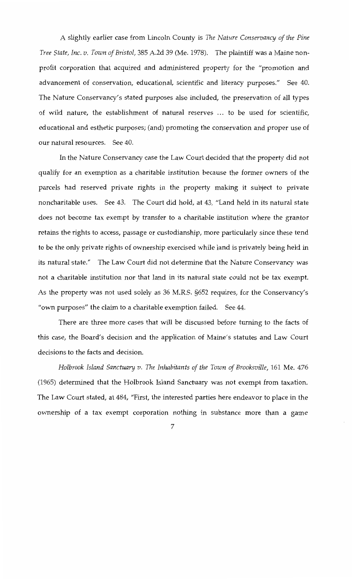A slightly earlier case from Lincoln County is The *Nature Conservancy of the Pine Tree State, Inc. v. Town of Bristol,* 385 A.2d 39 (Me. 1978). The plaintiff was a Maine nonprofit corporation that acquired and administered property for the "promotion and advancement of conservation, educational, scientific and literacy purposes." See 40. The Nature Conservancy's stated purposes also included, the preservation of all types of wild nature, the establishment of natural reserves . . . *to* be used for scientific, educational and esthetic purposes; (and) promoting the conservation and proper use of our natural resources. See 40.

In the Nature Conservancy case the Law Court decided that the property did not qualify for an exemption as a charitable institution because the former owners of the parcels had reserved private rights in the property making it subject *to* private noncharitable uses. See 43. The Court did hold, at 43, "Land held in its natural state does not become tax exempt by transfer to a charitable institution where the grantor retains the rights *to* access, passage or custodianship, more particularly since these tend *to* be the only private rights of ownership exercised while land is privately being held in its natural state." The Law Court did not determine that the Nature Conservancy was not a charitable institution nor that land in its natural state could not be tax exempt. As the property was not used solely as 36 M.R.S. §652 requires, for the Conservancy's "own purposes" the claim *to* a charitable exemption failed. See 44.

There are three more cases that will be discussed before turning *to* the facts of this case, the Board's decision and the application of Maine's statutes and Law Court decisions *to* the facts and decision.

*Holbrook Island Sanctuary v.* The *Inhabitants of the Town of Brooksville,* 161 Me. 476 (1965) determined that the Holbrook Island Sanctuary was not exempt from taxation. The Law Court stated, at 484, "First, the interested parties here endeavor *to* place in the ownership of a tax exempt corporation nothing in substance more than a game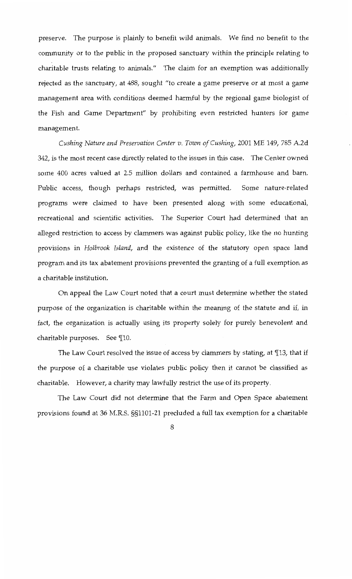preserve. The purpose is plainly to benefit wild animals. We find no benefit to the community or to the public in the proposed sanctuary within the principle relating to charitable trusts relating to animals." The claim for an exemption was additionally rejected as the sanctuary, at 488, sought "to create a game preserve or at most a game management area with conditions deemed harmful by the regional game biologist of the Fish and Game Department" by prohibiting even restricted hunters for game management.

*Cushing Nature and Preservation Center v. Town of Cushing,* 2001 ME 149, 785 A.2d 342, is the most recent case directly related to the issues in this case. The Center owned some 400 acres valued at 2.5 million dollars and contained a farmhouse and barn. Public access, though perhaps restricted, was permitted. Some nature-related programs were claimed to have been presented along with some educational, recreational and scientific activities. The Superior Court had determined that an alleged restriction to access by clammers was against public policy, like the no hunting provisions in *Holbrook Island,* and the existence of the statutory open space land program and its tax abatement provisions prevented the granting of a full exemption as a charitable institution.

On appeal the Law Court noted that a court must determine whether the stated purpose of the organization is charitable within the meaning of the statute and if, in fact, the organization is actually using its property solely for purely benevolent and charitable purposes. See  $\P$ 10.

The Law Court resolved the issue of access by clammers by stating, at  $\P$ 13, that if the purpose of a charitable use violates public policy then it cannot be classified as charitable. However, a charity may lawfully restrict the use of its property.

The Law Court did not determine that the Farm and Open Space abatement provisions found at 36 M.R.S. §§1101-21 precluded a full tax exemption for a charitable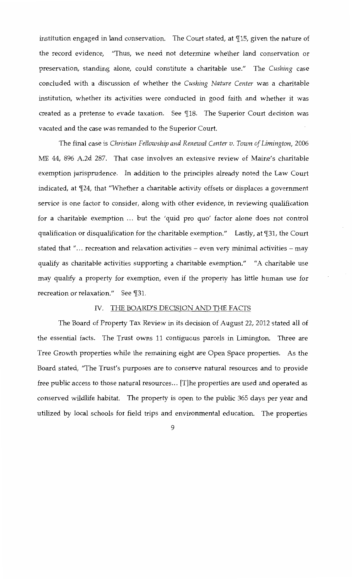institution engaged in land conservation. The Court stated, at  $\mathbb{I}15$ , given the nature of the record evidence, "Thus, we need not determine whether land conservation or preservation, standing alone, could constitute a charitable use." The *Cushing* case concluded with a discussion of whether the *Cushing Nature Center* was a charitable institution, whether its activities were conducted in good faith and whether it was created as a pretense to evade taxation. See 18. The Superior Court decision was vacated and the case was remanded *to* the Superior Court.

The final case is *Christian Fellowship and Renewal Center v. Town of Limington,* 2006 ME 44, 896 A.2d 287. That case involves an extensive review of Maine's charitable exemption jurisprudence. In addition to the principles already noted the Law Court indicated, at  $\P$ 24, that "Whether a charitable activity offsets or displaces a government service is one factor *to* consider, along with other evidence, in reviewing qualification for a charitable exemption ... but the 'quid pro quo' factor alone does not control qualification or disqualification for the charitable exemption." Lastly, at  $\mathbb{I}31$ , the Court stated that " $\ldots$  recreation and relaxation activities – even very minimal activities – may qualify as charitable activities supporting a charitable exemption." "A charitable use may qualify a property for exemption, even if the property has little human use for recreation or relaxation." See ¶31.

# IV. THE BOARD'S DECISION AND THE FACTS

The Board of Property Tax Review in its decision of August 22, 2012 stated all of the essential facts. The Trust owns 11 contiguous parcels in Limington. Three are Tree Growth properties while the remaining eight are Open Space properties. As the Board stated, "The Trust's purposes are *to* conserve natural resources and *to* provide free public access to those natural resources ... [T]he properties are used and operated as conserved wildlife habitat. The property is open to the public 365 days per year and utilized by local schools for field trips and environmental education. The properties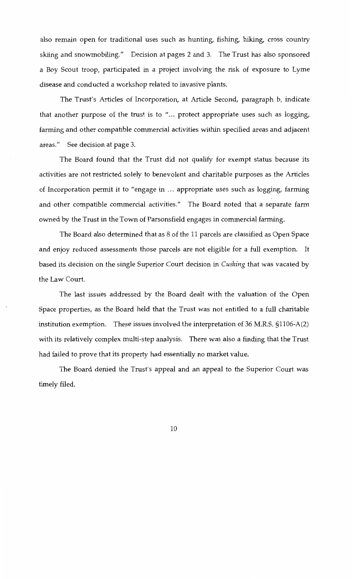also remain open for traditional uses such as hunting, fishing, hiking, cross country skiing and snowmobiling." Decision at pages 2 and 3. The Trust has also sponsored a Boy Scout troop, participated in a project involving the risk of exposure to Lyme disease and conducted a workshop related to invasive plants.

The Trust's Articles of Incorporation, at Article Second, paragraph b, indicate that another purpose of the trust is to "... protect appropriate uses such as logging, farming and other compatible commercial activities within specified areas and adjacent areas." See decision at page 3.

The Board found that the Trust did not qualify for exempt status because its activities are not restricted solely to benevolent and charitable purposes as the Articles of Incorporation permit it to "engage in ... appropriate uses such as logging, farming and other compatible commercial activities." The Board noted that a separate farm owned by the Trust in the Town of Parsonsfield engages in commercial farming.

The Board also determined that as 8 of the 11 parcels are classified as Open Space and enjoy reduced assessments those parcels are not eligible for a full exemption. It based its decision on the single Superior Court decision in *Cushing* that was vacated by the Law Court.

The last issues addressed by the Board dealt with the valuation of the Open Space properties, as the Board held that the Trust was not entitled to a full charitable institution exemption. These issues involved the interpretation of 36 M.R.S. §1106-A(2) with its relatively complex multi-step analysis. There was also a finding that the Trust had failed to prove that its property had essentially no market value.

The Board denied the Trust's appeal and an appeal to the Superior Court was timely filed.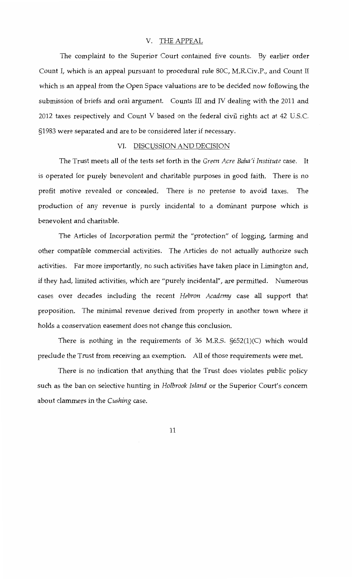# V. THE APPEAL

The complaint to the Superior Court contained five counts. By earlier order Count I, which is an appeal pursuant to procedural rule 80C, M.R.Civ.P., and Count II which is an appeal from the Open Space valuations are to be decided now following the submission of briefs and oral argument. Counts Ill and *N* dealing with the 2011 and 2012 taxes respectively and Count V based on the federal civil rights act at 42 U.S.C. §1983 were separated and are to be considered later if necessary.

# VI. DISCUSSION AND DECISION

The Trust meets all of the tests set forth in the *Green Acre Baha'i Institute* case. It is operated for purely benevolent and charitable purposes in good faith. There is no profit motive revealed or concealed. There is no pretense to avoid taxes. The production of any revenue is purely incidental to a dominant purpose which is benevolent and charitable.

The Articles of Incorporation permit the "protection" of logging, farming and other compatible commercial activities. The Articles do not actually authorize such activities. Far more importantly, no such activities have taken place in Limington and, if they had, limited activities, which are "purely incidental", are permitted. Numerous cases over decades including the recent *Hebron Academy* case all support that proposition. The minimal revenue derived from property in another town where it holds a conservation easement does not change this conclusion.

There is nothing in the requirements of 36 M.R.S. §652(1)(C) which would preclude the Trust from receiving an exemption. All of those requirements were met.

There is no indication that anything that the Trust does violates public policy such as the ban on selective hunting in *Holbrook Island* or the Superior Court's concern about clammers in the *Cushing* case.

11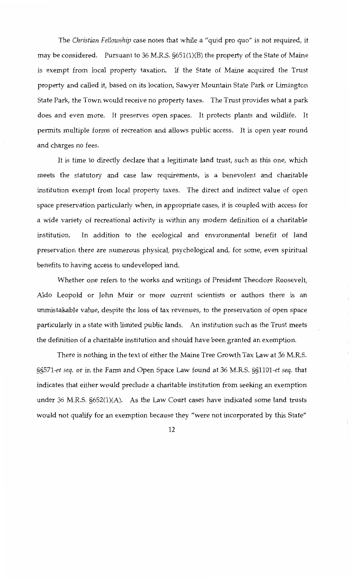The *Christian Fellowship* case notes that while a "quid pro quo" is not required, it may be considered. Pursuant to 36 M.R.S. §651(1)(B) the property of the State of Maine is exempt from local property taxation. If the State of Maine acquired the Trust property and called it, based on its location, Sawyer Mountain State Park or Limington State Park, the Town would receive no property taxes. The Trust provides what a park does and even more. It preserves open spaces. It protects plants and wildlife. It permits multiple forms of recreation and allows public access. It is open year round and charges no fees.

It is time to directly declare that a legitimate land trust, such as this one, which meets the statutory and case law requirements, is a benevolent and charitable institution exempt from local property taxes. The direct and indirect value of open space preservation particularly when, in appropriate cases, it is coupled with access for a wide variety of recreational activity is within any modern definition of a charitable institution. In addition to the ecological and environmental benefit of land preservation there are numerous physical, psychological and, for some, even spiritual benefits to having access to undeveloped land.

Whether one refers to the works and writings of President Theodore Roosevelt, Aldo Leopold or John Muir or more current scientists or authors there is an unmistakable value, despite the loss of tax revenues, to the preservation of open space particularly in a state with limited public lands. An institution such as the Trust meets the definition of a charitable institution and should have been granted an exemption.

÷

 $\frac{1}{2}$ 

There is nothing in the text of either the Maine Tree Growth Tax Law at 36 M.R.S. *§§571-et seq.* or in the Farm and Open Space Law found at 36 M.R.S. *§§1101-et seq.* that indicates that either would preclude a charitable institution from seeking an exemption under 36 M.R.S. §652(1)(A). As the Law Court cases have indicated some land trusts would not qualify for an exemption because they "were not incorporated by this State"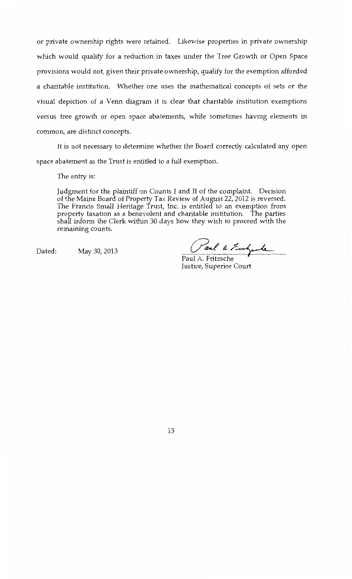or private ownership rights were retained. Likewise properties in private ownership which would qualify for a reduction in taxes under the Tree Growth or Open Space provisions would not, given their private ownership, qualify for the exemption afforded a charitable institution. Whether one uses the mathematical concepts of sets or the visual depiction of a Venn diagram it is clear that charitable institution exemptions versus tree growth or open space abatements, while sometimes having elements in common, are distinct concepts.

It is not necessary *to* determine whether the Board correctly calculated any open space abatement as the Trust is entitled *to* a full exemption.

The entry is:

Judgment for the plaintiff on Counts I and II of the complaint. Decision of the Maine Board of Property Tax Review of August 22, 2012 is reversed. The Francis Small Heritage Trust, Inc. is entitled *to* an exemption from property taxation as a benevolent and charitable institution. The parties shall inform the Clerk within 30 days how they wish *to* proceed with the remaining counts.

Dated: May 30,2013

Caul a Fulgade

 $\bar{1}$ 

Justice, Superior Court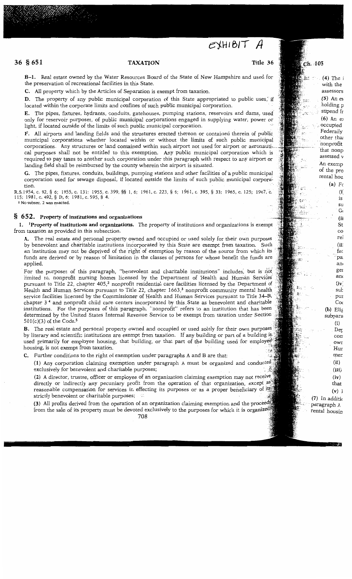# $EXHIBIT$   $A$

## **36 § 651 TAXATION Title 36**

. **(4)** The i with the assessors  $(5)$  An ex holding p stipend fr **(6)** An eJ .. occupied Federally other thai · nonprofit that nonp assessed v An exemp of the pro rental hou **(a)** Fe  $(i)$ is su G( **(ii**  St co rel **(ii;**  fac ··pa an' ger anc (iv: sui: pur *Coc*  **(b)** Elif subpara (i)  $\mathrm{De}_{\bar{\text{P}}}$ corr owr Hur mer **(ii) (iii)**   $(iv)$ that **(v)** l

Ch. 105

Æ.

: مح<br>المحمد ¥. ŞŞ зń. diw

÷.

**(7)** In additic · paragraph A rental housin

**B-1.** Real estate owned by the Water Resources Board of the State of New Hampshire and used for the preservation of recreational facilities in this State.

**C.** All property which by the Articles of Separation is exempt from taxation.

**D.** The property of any public municipal corporation of this State appropriated to public uses, if located within the corporate limits and confines of such public municipal corporation.

**E.** The pipes, fixtures, hydrants, conduits, gatehouses, pumping stations, reservoirs and darns, used' only for reservoir purposes, of public municipal corporations engaged in supplying water, power or light, if located outside of the limits of such public municipal corporation.

**F.** All airports and landing fields and the structures erected thereon or contained therein of public municipal 'corporations whether located within or without the limits of such public municipal corporations. Any structures or land contained within such airport not used for airport or aeronautical purposes shall not be entitled to this exemption. Any public municipal corporation which is required to pay taxes to another such corporation under this paragraph with respect to any airport or landing field shall be reimbursed by the county wherein the airport is situated.

**G.** The pipes, fixtures, conduits, buildings, pumping stations and other facilities of a public municipal corporation used for sewage disposal, if located outside the limits of such public municipal corpora~ tion.

R.S.1954, c. 92, § 6; 1955, c. 131; 1955, c. 399, §§ 1, 6; 1961, c. 223, § 6; 1961, c. 395, § 33; 1965, c. 125; 1967, c. 115; 1981,c.492,§ D,6; 1981,c.595,§ 4.

I No subsec. 2 was enacted.

### § **6 52. Property of institutions and organizations**

**1. 1Property of institutions and organizations.** The property of institutions and organizations is exempt from taxation as provided in this subsection.

**A.** The real estate and personal property owned and occupied or used solely for their own purposes by benevolent and charitable institutions incorporated by this State are exempt from taxation. Such an institution may not be deprived of the right of exemption by reason of the source from which its funds are derived or by reason of limitation in the classes of persons for whose benefit the funds are applied.

For the purposes of this paragraph, "benevolent and charitable institutions" includes, but is not limited to, nonprofit nursing homes licensed by the Department of Health and Human Services pursuant to Title 22, chapter 405,<sup>2</sup> nonprofit residential care facilities licensed by the Department of Health and Human Services pursuant to Title 22, chapter 1663,<sup>3</sup> nonprofit community mental health service facilities licensed by the Commissioner of Health and Human Services pursuant to Title 34–B, chapter 3 4 and nonprofit child care centers incorporated by this. State as benevolent and charitable institutions. For the purposes of this paragraph, "nonprofit" refers to an institution that has been determined by the United States Internal Revenue Service to be exempt from taxation under Section 501(c)(3) of the Code.5

**B.** The real estate and personal property owned and occupied or used solely for their own purposes by literary and scientific institutions are exempt from taxation. If any building or part of a building is used primarily for employee housing, that building, or that part of the building used for employee housing, is not exempt from taxation.

**C.** Further conditions to the right of exemption under paragraphs A and B are that:

**(1)** Any corporation claiming exemption under paragraph A must be organized and exclusively for benevolent and charitable purposes;

**(2)** A director, trustee, officer or employee of an organization claiming exemption may not directly or indirectly any pecuniary profit from the operation of that organization, except as reasonable compensation for services in effecting its purposes or as a proper beneficiary of its strictly benevolent or charitable purposes;

(3) All profits derived from the operation of an organization claiming exemption and the proceeds from the sale of its property must be devoted exclusively to the purposes for which it is organized.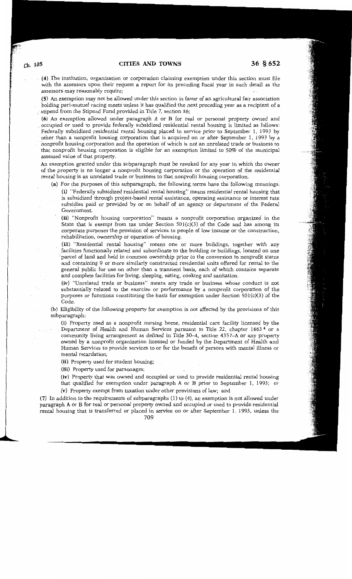**(4)** The institution, organization or corporation claiming exemption under this section must file with the assessors upon their request a report for its preceding fiscal year in such detail as the assessors may reasonably require;

**(5)** An exemption may not be allowed under this section in favor of an agricultural fair association holding pari-mutuel racing meets unless it has qualified the next preceding year as a recipient of a stipend from the Stipend Fund provided in Title 7, section 86;

**(6)** An exemption allowed under paragraph A or B for real or personal property owned and \_ occupied or used to provide federally subsidized residential rental housing is limited as follows: Federally subsidized residential rental housing placed in service prior to September 1, 1993 by other than a nonprofit housing corporation that is acquired on or after September 1, 1993 by a "nonprofit housing corporation and the operation of which is not an unrelated trade or business to that nonprofit housing corporation is eligible for. an exemption limited to 50% of the municipal assessed value of that property.

An exemption granted under this subparagraph must be revoked for any year in which the owner of the property is no longer a nonprofit housing corporation or the operation of the residential rental housing is an unrelated trade or business to that nonprofit housing corporation.

(a) For the purposes of this subparagraph, the following terms have the-following meanings.

**(i)** "Federally subsidized residential rental housing" means residential rental housing that is subsidized through project-based rental assistance, operating assistance or interest rate subsidies paid or provided by or on behalf of an agency or department of the Federal Government.

**(ii)** "Nonprofit housing corporation" means a nonprofit corporation organized in the State that is exempt from tax under Section  $501(c)(3)$  of the Code and has among its corporate purposes the provision of services to people of low income or the construction, rehabilitation, ownership or operation of housing.

**(iii)** "Residential rental housing" means one or more buildings, together with any facilities functionally related and subordinate to the building or buildings, located on one parcel of land and held in common ownership prior to the conversion to nonprofit status and containing 9 or more similarly constructed residential units offered for rental to the general public for use on other than a transient basis, each of which contains separate and complete facilities for living, sleeping, eating, cooking and sanitation.

**(iv)** "Unrelated trade or business" means any trade or business whose conduct is not substantially related to the exercise or performance by a nonprofit corporation of the purposes or functions constituting the basis for exemption under Section 501(c)(3) of the Code.

**(b)** Eligibility of the following property for exemption is not affected by the provisions of this subparagraph:

(i) Property used as a nonprofit nursing home, residential care facility licensed by the Department of Health and Human Services pursuant to Title 22, chapter 1663 ° or a community living arrangement as defined in Title 30-A, section 4357-A or any property owned by a nonprofit organization licensed or funded by the Department of Health and Human Services to provide services to or for the benefit of persons with mental illness or mental retardation;

**(ii)** Property used for student housing;

**(iii)** Property used for parsonages;

**(iv)** Property that was owned and occupied or used to provide residential rental housing that qualified for exemption under paragraph A or B prior to September 1, 1993; or

(v) Property exempt from taxation under other provisions of law; and

**(7)** In addition to the requirements of subparagraphs (1) to (4), an exemption is not allowed under paragraph A or B for real or personal property owned and occupied or used to provide residential rental housing that is transferred or placed in service on or after September 1, 1993, unless the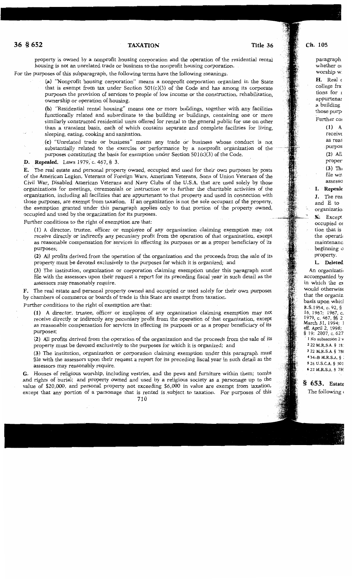property is owned by a nonprofit housing corporation and the operation of the residential rental housing is not an unrelated trade or business to the nonprofit housing corporation.

For the purposes of this subparagraph, the following terms have the following meanings.

**(a)** "Nonprofit housing corporation" means a nonprofit corporation organized in the State that is exempt from tax under Section  $501(c)(3)$  of the Code and has among its corporate purposes the provision of services to people of low income or the construction, rehabilitation, ownership or operation of housing.

**(b)** "Residential rental housing" means one or more buildings, together with any facilities functionally related and subordinate to the building or buildings, containing one or more similarly constructed residential units offered for rental to the general public for use on other than a transient basis, each of which contains separate and complete facilities for living, sleeping, eating, cooking and sanitation.

**(c)** "Unrelated trade or business" means any trade or business whose conduct is not substantially related to the exercise or performance by a nonprofit organization of the purposes constituting the basis for exemption under Section 50l(c)(3) of the Code.

### **D. Repealed.** Laws 1979, c. 467, § 3.

**E.** The real estate and personal property owned, occupied and used for their own purposes by posts of the American Legion, Veterans of Foreign Wars, American Veterans, Sons of Union Veterans of the Civil War, Disabled American Veterans and Navy Clubs of the U.S.A. that are used solely by those organizations for meetings, ceremonials or instruction or to further the charitable activities of the organization, including all facilities that are appurtenant to that property and used in connection with those purposes, are exempt from taxation. If an organization is not the sole occupant of the property, the exemption granted under this paragraph applies only to that portion of the property owned, occupied and used by the organization for its purposes.

Further conditions to the right of exemption are that:

(1) A director, trustee, officer or employee of any organization claiming exemption may not receive directly or indirectly any pecuniary profit from the operation of that organization, except as reasonable compensation for services in effecting its purposes or as a proper beneficiary of its purposes;

**(2)** All profits derived from the operation of the organization and the proceeds from the sale of its property must be devoted exclusively to the purposes for which it is organized; and

**(3)** The institution, organization or corporation claiming exemption under this paragraph must file with the assessors upon their request a report for its preceding fiscal year in such detail as the assessors may reasonably require.

**F.** The real estate and personal property owned and occupied or used solely for their own purposes by chambers of commerce or boards of trade in this State are exempt from taxation.

Further conditions to the right of exemption are that:

(1) A director, trustee, officer or employee cif any organization claiming exemption may not receive directly or indirectly any pecuniary profit from the operation of that organization, except as reasonable compensation for services in effecting its purposes or as a proper beneficiary of its purposes;

**(2)** All profits derived from the operation of the organization and the proceeds from the sale of its property must be devoted exclusively to the purposes for which it is organized; and

**(3)** The institution, organization or corporation claiming exemption under this paragraph must file with the assessors upon their request a report for its preceding fiscal year in such detail as the assessors may reasonably require.

**G.** Houses of religious worship, including vestries, and the pews and furniture within them; tombs and rights of burial; and property owned and used by a religious society as a parsonage up to the value of \$20,000, and personal property not exceeding \$6,000 in value are exempt from taxation, except that any portion of a parsonage that is rented is subject to taxation. For purposes of this

paragraph whether or worship w  $H.$  Real  $\epsilon$ college fra tions for r appurtenar a building those purp' Further col (1) A

> receive as reas purpos **(2)** All proper **(3)** Th< file wit assesso

I. **Repeale** 

**J.** The rea and E to organizatio. **K;** Except occupied *01*  tion that is the operati<

maintenanc beginning a property.

### **L. Deleted**

An organizati• accompanied by in which the ex would otherwise that the organiz. basis upon whicl R.S.1954, c. 92, § 16, 1967; 1967, c. 1979, c. 467, §§ 2 March 31, 1994; J eff. April 2, 1998; § 19; 2007, c. 627 · 1 No subsection 2 v 2 22 M.R.S.A. § 18: 3 22 M.R.S.A. § 78! 4 34-B M.R.S.A. § : 5 26 U.S.C.A. § 50! 6 22 M.R.S.A. § 78C

§ **653.** Estate The following  $($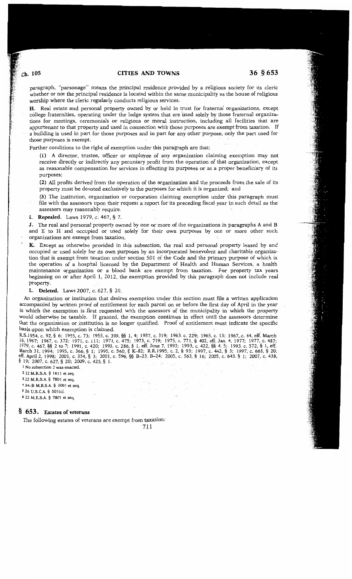# **CITIES AND TOWNS 36 § 653**

paragraph, "parsonage" means the principal residence provided by a religious society for its cleric whether or not the principal residence is located within the same municipality as the house of religious worship where the cleric regularly conducts religious services.

**H.** Real estate and personal property owned by or held in trust for fraternal organizations, except college fraternities, operating under the lodge system that are 'used solely by those fraternal organizations for meetings, ceremonials or religious or moral instruction, including all facilities that are appurtenant to that property and used in connection with those purposes are exempt from taxation. If a building is used in part for those purposes and in part for any other purpose, only the part used for those purposes is exempt.

Further conditions to the right of exemption under this paragraph are that:

**(1)** A director, trustee, officer or employee of any organization claiming exemption may not receive directly or indirectly any pecuniary profit from the operation of that organization, except as reasonable compensation for services in effecting its purposes or as a proper beneficiary of its purposes;

**(2)** All profits derived from the operation of the organization and the proceeds from the sale of its property must be devoted exclusively to the purposes for which it is organized; and

**(3)** The institution, organization or corporation claiming exemption under this paragraph must file with the assessors upon their request a report for its preceding fiscal year in such detail as the assessors may reasonably require.

**I. Repealed.** Laws 1979, c. 467, § 7.

**J.** The real and personal property owned by one or more of the organizations in paragraphs A and B and E to H and occupied or used solely for their own purposes by one or more other such organizations are exempt from taxation.

**K.** Except as otherwise provided in this subsection, the real and personal property leased by and occupied or used solely for its own purposes by an incorporated benevolent and charitable organization that is exempt from taxation under section 501 of the Code and the primary purpose of which is the operation of a hospital licensed by the Department of Health and Human Services, a health maintenance organization or a blood bank are exempt from taxation. For property tax years beginning on or after April **1,** 2012, the exemption provided by this paragraph does not include real property.

**L. Deleted.** Laws 2007, c. 627, § 20.

An organization or institution that desires exemption under this section must file a written application accompanied by written proof of entitlement for each parcel on or before the first day of April in the year in which the exemption is first requested with the assessors of the municipality in which the property would otherwise be taxable. If granted, the exemption continues in effect until the assessors determine that the organization or institution is no longer qualified. Proof of entitlement must indicate the specific basis upon which exemption is claimed.

R.S.1954, c. 92, § 6; 1955, c. 73; 1955, c. 399, §§ 1, 4; 1957, c. 319; 1963, c. 229; 1965, c. 13; 1967, c. 64, eff. March 16, 1967; 1967, c. 372; 1971, c. 111; 1971, c. 475; 1973, c. 719; 1975, c. 771, § 402, eff. Jan. 4, 1977; 1977, c. 487; 1979, c. 467, §§ 2 to 7; 1991, c. 420; 1993, c. 286, § 1, eff. June 7, 1993; 1993, c. 422, §§ 4, 5; 1993, c. 572, § 1, eff. March 31, 1994; 1995, c. 366, § 1; 1995, c. 560, § K-82; R.R.1995, c. 2, § 93; 1997, c. 442, § 3; 1997, c. 668, § 20, eff. April2, 1998; 2001, c. 354, § 3; 2001, c. 596, §§ B-23, B-24; 2005, c. 563, § 16; 2005, c. 645, § 1; 2007, c. 438, § 19; 2007, c. 627, § 20; 2009, c. 425, § 1. .

I No subsection 2 was enacted.

2 22 M.R.S.A. § 1811 et seq.

3 22 M.R.S.A. § 7801 et seq.

4 34 B M.R.S.A. § 3001 et seq.

 $526$  U.S.C.A. §  $501(c)$ .

6 22 M.R.S.A. § 7801 et seq.

### § **6 53. Estates of veterans**

The following estates of veterans are exempt from taxation:

Ch. 105